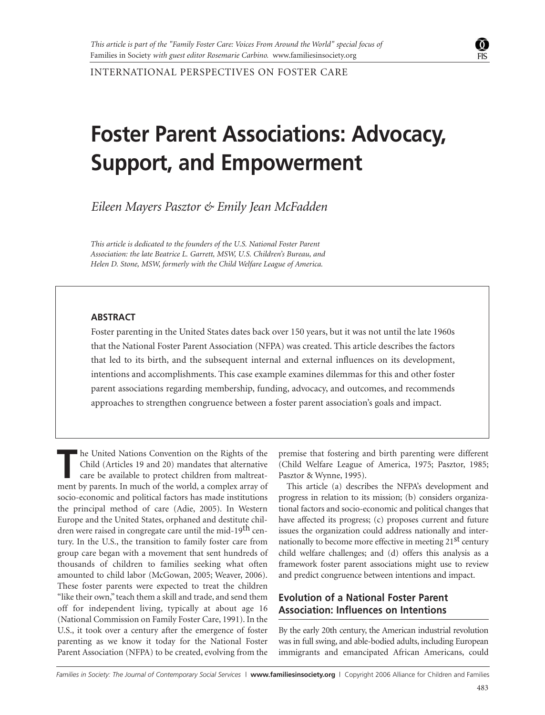INTERNATIONAL PERSPECTIVES ON FOSTER CARE

# **Foster Parent Associations: Advocacy, Support, and Empowerment**

*Eileen Mayers Pasztor & Emily Jean McFadden* 

*This article is dedicated to the founders of the U.S. National Foster Parent Association: the late Beatrice L. Garrett, MSW, U.S. Children's Bureau, and Helen D. Stone, MSW, formerly with the Child Welfare League of America.*

### **ABSTRACT**

Foster parenting in the United States dates back over 150 years, but it was not until the late 1960s that the National Foster Parent Association (NFPA) was created. This article describes the factors that led to its birth, and the subsequent internal and external influences on its development, intentions and accomplishments. This case example examines dilemmas for this and other foster parent associations regarding membership, funding, advocacy, and outcomes, and recommends approaches to strengthen congruence between a foster parent association's goals and impact.

**The United Nations Convention on the Rights of the Child (Articles 19 and 20) mandates that alternative care be available to protect children from maltreat-<br>months up protect and the second complex care of the second comp** Child (Articles 19 and 20) mandates that alternative ment by parents. In much of the world, a complex array of socio-economic and political factors has made institutions the principal method of care (Adie, 2005). In Western Europe and the United States, orphaned and destitute children were raised in congregate care until the mid-19<sup>th</sup> century. In the U.S., the transition to family foster care from group care began with a movement that sent hundreds of thousands of children to families seeking what often amounted to child labor (McGowan, 2005; Weaver, 2006). These foster parents were expected to treat the children "like their own," teach them a skill and trade, and send them off for independent living, typically at about age 16 (National Commission on Family Foster Care, 1991). In the U.S., it took over a century after the emergence of foster parenting as we know it today for the National Foster Parent Association (NFPA) to be created, evolving from the

premise that fostering and birth parenting were different (Child Welfare League of America, 1975; Pasztor, 1985; Pasztor & Wynne, 1995).

This article (a) describes the NFPA's development and progress in relation to its mission; (b) considers organizational factors and socio-economic and political changes that have affected its progress; (c) proposes current and future issues the organization could address nationally and internationally to become more effective in meeting 21<sup>st</sup> century child welfare challenges; and (d) offers this analysis as a framework foster parent associations might use to review and predict congruence between intentions and impact.

## **Evolution of a National Foster Parent Association: Influences on Intentions**

By the early 20th century, the American industrial revolution was in full swing, and able-bodied adults, including European immigrants and emancipated African Americans, could

*Families in Society: The Journal of Contemporary Social Services* | **www.familiesinsociety.org** | Copyright 2006 Alliance for Children and Families

FΙS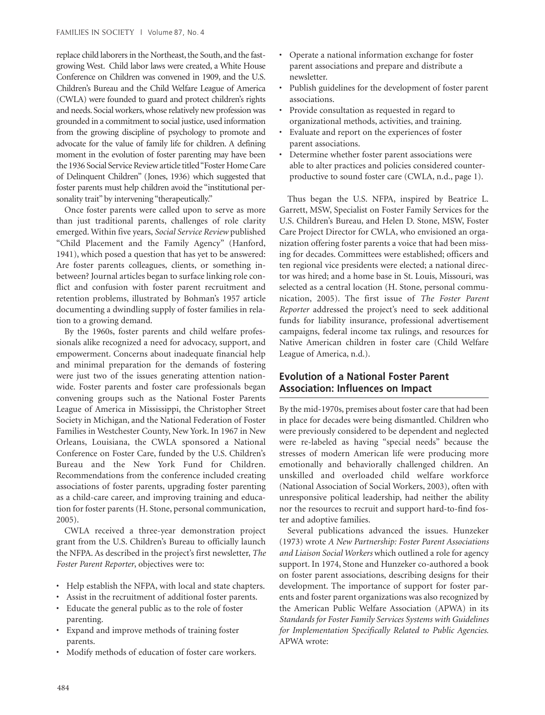replace child laborers in the Northeast, the South, and the fastgrowing West. Child labor laws were created, a White House Conference on Children was convened in 1909, and the U.S. Children's Bureau and the Child Welfare League of America (CWLA) were founded to guard and protect children's rights and needs. Social workers, whose relatively new profession was grounded in a commitment to social justice, used information from the growing discipline of psychology to promote and advocate for the value of family life for children. A defining moment in the evolution of foster parenting may have been the 1936 Social Service Review article titled "Foster Home Care of Delinquent Children" (Jones, 1936) which suggested that foster parents must help children avoid the "institutional personality trait" by intervening "therapeutically."

Once foster parents were called upon to serve as more than just traditional parents, challenges of role clarity emerged. Within five years, *Social Service Review* published "Child Placement and the Family Agency" (Hanford, 1941), which posed a question that has yet to be answered: Are foster parents colleagues, clients, or something inbetween? Journal articles began to surface linking role conflict and confusion with foster parent recruitment and retention problems, illustrated by Bohman's 1957 article documenting a dwindling supply of foster families in relation to a growing demand.

By the 1960s, foster parents and child welfare professionals alike recognized a need for advocacy, support, and empowerment. Concerns about inadequate financial help and minimal preparation for the demands of fostering were just two of the issues generating attention nationwide. Foster parents and foster care professionals began convening groups such as the National Foster Parents League of America in Mississippi, the Christopher Street Society in Michigan, and the National Federation of Foster Families in Westchester County, New York. In 1967 in New Orleans, Louisiana, the CWLA sponsored a National Conference on Foster Care, funded by the U.S. Children's Bureau and the New York Fund for Children. Recommendations from the conference included creating associations of foster parents, upgrading foster parenting as a child-care career, and improving training and education for foster parents (H. Stone, personal communication, 2005).

CWLA received a three-year demonstration project grant from the U.S. Children's Bureau to officially launch the NFPA. As described in the project's first newsletter, *The Foster Parent Reporter*, objectives were to:

- Help establish the NFPA, with local and state chapters.
- Assist in the recruitment of additional foster parents.
- Educate the general public as to the role of foster parenting.
- Expand and improve methods of training foster parents.
- Modify methods of education of foster care workers.
- Operate a national information exchange for foster parent associations and prepare and distribute a newsletter.
- Publish guidelines for the development of foster parent associations.
- Provide consultation as requested in regard to organizational methods, activities, and training.
- Evaluate and report on the experiences of foster parent associations.
- Determine whether foster parent associations were able to alter practices and policies considered counterproductive to sound foster care (CWLA, n.d., page 1).

Thus began the U.S. NFPA, inspired by Beatrice L. Garrett, MSW, Specialist on Foster Family Services for the U.S. Children's Bureau, and Helen D. Stone, MSW, Foster Care Project Director for CWLA, who envisioned an organization offering foster parents a voice that had been missing for decades. Committees were established; officers and ten regional vice presidents were elected; a national director was hired; and a home base in St. Louis, Missouri, was selected as a central location (H. Stone, personal communication, 2005). The first issue of *The Foster Parent Reporter* addressed the project's need to seek additional funds for liability insurance, professional advertisement campaigns, federal income tax rulings, and resources for Native American children in foster care (Child Welfare League of America, n.d.).

## **Evolution of a National Foster Parent Association: Influences on Impact**

By the mid-1970s, premises about foster care that had been in place for decades were being dismantled. Children who were previously considered to be dependent and neglected were re-labeled as having "special needs" because the stresses of modern American life were producing more emotionally and behaviorally challenged children. An unskilled and overloaded child welfare workforce (National Association of Social Workers, 2003), often with unresponsive political leadership, had neither the ability nor the resources to recruit and support hard-to-find foster and adoptive families.

Several publications advanced the issues. Hunzeker (1973) wrote *A New Partnership: Foster Parent Associations and Liaison Social Workers* which outlined a role for agency support. In 1974, Stone and Hunzeker co-authored a book on foster parent associations, describing designs for their development. The importance of support for foster parents and foster parent organizations was also recognized by the American Public Welfare Association (APWA) in its *Standards for Foster Family Services Systems with Guidelines for Implementation Specifically Related to Public Agencies.* APWA wrote: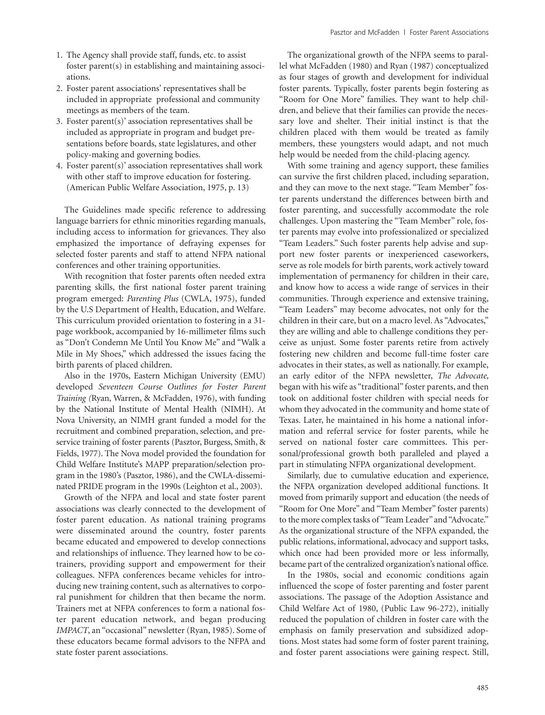- 1. The Agency shall provide staff, funds, etc. to assist foster parent(s) in establishing and maintaining associations.
- 2. Foster parent associations' representatives shall be included in appropriate professional and community meetings as members of the team.
- 3. Foster parent(s)' association representatives shall be included as appropriate in program and budget presentations before boards, state legislatures, and other policy-making and governing bodies.
- 4. Foster parent(s)' association representatives shall work with other staff to improve education for fostering. (American Public Welfare Association, 1975, p. 13)

The Guidelines made specific reference to addressing language barriers for ethnic minorities regarding manuals, including access to information for grievances. They also emphasized the importance of defraying expenses for selected foster parents and staff to attend NFPA national conferences and other training opportunities.

With recognition that foster parents often needed extra parenting skills, the first national foster parent training program emerged: *Parenting Plus* (CWLA, 1975), funded by the U.S Department of Health, Education, and Welfare. This curriculum provided orientation to fostering in a 31 page workbook, accompanied by 16-millimeter films such as "Don't Condemn Me Until You Know Me" and "Walk a Mile in My Shoes," which addressed the issues facing the birth parents of placed children.

Also in the 1970s, Eastern Michigan University (EMU) developed *Seventeen Course Outlines for Foster Parent Training (*Ryan, Warren, & McFadden, 1976), with funding by the National Institute of Mental Health (NIMH). At Nova University, an NIMH grant funded a model for the recruitment and combined preparation, selection, and preservice training of foster parents (Pasztor, Burgess, Smith, & Fields, 1977). The Nova model provided the foundation for Child Welfare Institute's MAPP preparation/selection program in the 1980's (Pasztor, 1986), and the CWLA-disseminated PRIDE program in the 1990s (Leighton et al., 2003).

Growth of the NFPA and local and state foster parent associations was clearly connected to the development of foster parent education. As national training programs were disseminated around the country, foster parents became educated and empowered to develop connections and relationships of influence. They learned how to be cotrainers, providing support and empowerment for their colleagues. NFPA conferences became vehicles for introducing new training content, such as alternatives to corporal punishment for children that then became the norm. Trainers met at NFPA conferences to form a national foster parent education network, and began producing *IMPACT*, an "occasional" newsletter (Ryan, 1985). Some of these educators became formal advisors to the NFPA and state foster parent associations.

The organizational growth of the NFPA seems to parallel what McFadden (1980) and Ryan (1987) conceptualized as four stages of growth and development for individual foster parents. Typically, foster parents begin fostering as "Room for One More" families. They want to help children, and believe that their families can provide the necessary love and shelter. Their initial instinct is that the children placed with them would be treated as family members, these youngsters would adapt, and not much help would be needed from the child-placing agency.

With some training and agency support, these families can survive the first children placed, including separation, and they can move to the next stage. "Team Member" foster parents understand the differences between birth and foster parenting, and successfully accommodate the role challenges. Upon mastering the "Team Member" role, foster parents may evolve into professionalized or specialized "Team Leaders." Such foster parents help advise and support new foster parents or inexperienced caseworkers, serve as role models for birth parents, work actively toward implementation of permanency for children in their care, and know how to access a wide range of services in their communities. Through experience and extensive training, "Team Leaders" may become advocates, not only for the children in their care, but on a macro level. As "Advocates," they are willing and able to challenge conditions they perceive as unjust. Some foster parents retire from actively fostering new children and become full-time foster care advocates in their states, as well as nationally. For example, an early editor of the NFPA newsletter, *The Advocate,* began with his wife as "traditional" foster parents, and then took on additional foster children with special needs for whom they advocated in the community and home state of Texas. Later, he maintained in his home a national information and referral service for foster parents, while he served on national foster care committees. This personal/professional growth both paralleled and played a part in stimulating NFPA organizational development.

Similarly, due to cumulative education and experience, the NFPA organization developed additional functions. It moved from primarily support and education (the needs of "Room for One More" and "Team Member" foster parents) to the more complex tasks of "Team Leader" and "Advocate." As the organizational structure of the NFPA expanded, the public relations, informational, advocacy and support tasks, which once had been provided more or less informally, became part of the centralized organization's national office.

In the 1980s, social and economic conditions again influenced the scope of foster parenting and foster parent associations. The passage of the Adoption Assistance and Child Welfare Act of 1980, (Public Law 96-272), initially reduced the population of children in foster care with the emphasis on family preservation and subsidized adoptions. Most states had some form of foster parent training, and foster parent associations were gaining respect. Still,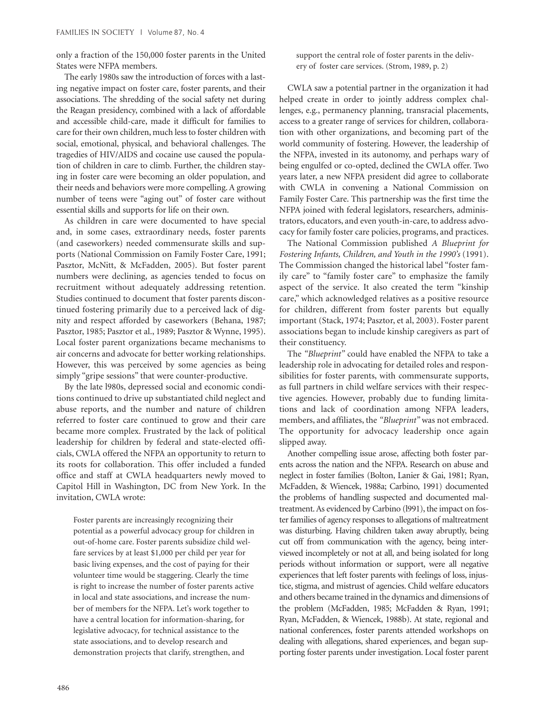only a fraction of the 150,000 foster parents in the United States were NFPA members.

The early 1980s saw the introduction of forces with a lasting negative impact on foster care, foster parents, and their associations. The shredding of the social safety net during the Reagan presidency, combined with a lack of affordable and accessible child-care, made it difficult for families to care for their own children, much less to foster children with social, emotional, physical, and behavioral challenges. The tragedies of HIV/AIDS and cocaine use caused the population of children in care to climb. Further, the children staying in foster care were becoming an older population, and their needs and behaviors were more compelling. A growing number of teens were "aging out" of foster care without essential skills and supports for life on their own.

As children in care were documented to have special and, in some cases, extraordinary needs, foster parents (and caseworkers) needed commensurate skills and supports (National Commission on Family Foster Care, 1991; Pasztor, McNitt, & McFadden, 2005). But foster parent numbers were declining, as agencies tended to focus on recruitment without adequately addressing retention. Studies continued to document that foster parents discontinued fostering primarily due to a perceived lack of dignity and respect afforded by caseworkers (Behana, 1987; Pasztor, 1985; Pasztor et al., 1989; Pasztor & Wynne, 1995). Local foster parent organizations became mechanisms to air concerns and advocate for better working relationships. However, this was perceived by some agencies as being simply "gripe sessions" that were counter-productive.

By the late l980s, depressed social and economic conditions continued to drive up substantiated child neglect and abuse reports, and the number and nature of children referred to foster care continued to grow and their care became more complex. Frustrated by the lack of political leadership for children by federal and state-elected officials, CWLA offered the NFPA an opportunity to return to its roots for collaboration. This offer included a funded office and staff at CWLA headquarters newly moved to Capitol Hill in Washington, DC from New York. In the invitation, CWLA wrote:

Foster parents are increasingly recognizing their potential as a powerful advocacy group for children in out-of-home care. Foster parents subsidize child welfare services by at least \$1,000 per child per year for basic living expenses, and the cost of paying for their volunteer time would be staggering. Clearly the time is right to increase the number of foster parents active in local and state associations, and increase the number of members for the NFPA. Let's work together to have a central location for information-sharing, for legislative advocacy, for technical assistance to the state associations, and to develop research and demonstration projects that clarify, strengthen, and

support the central role of foster parents in the delivery of foster care services. (Strom, 1989, p. 2)

CWLA saw a potential partner in the organization it had helped create in order to jointly address complex challenges, e.g., permanency planning, transracial placements, access to a greater range of services for children, collaboration with other organizations, and becoming part of the world community of fostering. However, the leadership of the NFPA, invested in its autonomy, and perhaps wary of being engulfed or co-opted, declined the CWLA offer. Two years later, a new NFPA president did agree to collaborate with CWLA in convening a National Commission on Family Foster Care. This partnership was the first time the NFPA joined with federal legislators, researchers, administrators, educators, and even youth-in-care, to address advocacy for family foster care policies, programs, and practices.

The National Commission published *A Blueprint for Fostering Infants, Children, and Youth in the 1990's* (1991). The Commission changed the historical label "foster family care" to "family foster care" to emphasize the family aspect of the service. It also created the term "kinship care," which acknowledged relatives as a positive resource for children, different from foster parents but equally important (Stack, 1974; Pasztor, et al, 2003). Foster parent associations began to include kinship caregivers as part of their constituency.

The *"Blueprint"* could have enabled the NFPA to take a leadership role in advocating for detailed roles and responsibilities for foster parents, with commensurate supports, as full partners in child welfare services with their respective agencies. However, probably due to funding limitations and lack of coordination among NFPA leaders, members, and affiliates, the *"Blueprint"* was not embraced. The opportunity for advocacy leadership once again slipped away.

Another compelling issue arose, affecting both foster parents across the nation and the NFPA. Research on abuse and neglect in foster families (Bolton, Lanier & Gai, 1981; Ryan, McFadden, & Wiencek, 1988a; Carbino, 1991) documented the problems of handling suspected and documented maltreatment. As evidenced by Carbino (l991), the impact on foster families of agency responses to allegations of maltreatment was disturbing. Having children taken away abruptly, being cut off from communication with the agency, being interviewed incompletely or not at all, and being isolated for long periods without information or support, were all negative experiences that left foster parents with feelings of loss, injustice, stigma, and mistrust of agencies. Child welfare educators and others became trained in the dynamics and dimensions of the problem (McFadden, 1985; McFadden & Ryan, 1991; Ryan, McFadden, & Wiencek, 1988b). At state, regional and national conferences, foster parents attended workshops on dealing with allegations, shared experiences, and began supporting foster parents under investigation. Local foster parent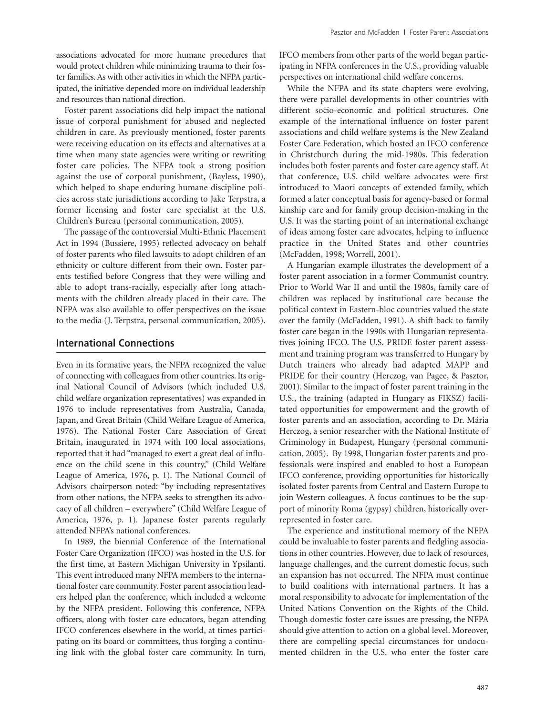associations advocated for more humane procedures that would protect children while minimizing trauma to their foster families. As with other activities in which the NFPA participated, the initiative depended more on individual leadership and resources than national direction.

Foster parent associations did help impact the national issue of corporal punishment for abused and neglected children in care. As previously mentioned, foster parents were receiving education on its effects and alternatives at a time when many state agencies were writing or rewriting foster care policies. The NFPA took a strong position against the use of corporal punishment, (Bayless, 1990), which helped to shape enduring humane discipline policies across state jurisdictions according to Jake Terpstra, a former licensing and foster care specialist at the U.S. Children's Bureau (personal communication, 2005).

The passage of the controversial Multi-Ethnic Placement Act in 1994 (Bussiere, 1995) reflected advocacy on behalf of foster parents who filed lawsuits to adopt children of an ethnicity or culture different from their own. Foster parents testified before Congress that they were willing and able to adopt trans-racially, especially after long attachments with the children already placed in their care. The NFPA was also available to offer perspectives on the issue to the media (J. Terpstra, personal communication, 2005).

#### **International Connections**

Even in its formative years, the NFPA recognized the value of connecting with colleagues from other countries. Its original National Council of Advisors (which included U.S. child welfare organization representatives) was expanded in 1976 to include representatives from Australia, Canada, Japan, and Great Britain (Child Welfare League of America, 1976). The National Foster Care Association of Great Britain, inaugurated in 1974 with 100 local associations, reported that it had "managed to exert a great deal of influence on the child scene in this country," (Child Welfare League of America, 1976, p. 1). The National Council of Advisors chairperson noted: "by including representatives from other nations, the NFPA seeks to strengthen its advocacy of all children – everywhere" (Child Welfare League of America, 1976, p. 1). Japanese foster parents regularly attended NFPA's national conferences.

In 1989, the biennial Conference of the International Foster Care Organization (IFCO) was hosted in the U.S. for the first time, at Eastern Michigan University in Ypsilanti. This event introduced many NFPA members to the international foster care community. Foster parent association leaders helped plan the conference, which included a welcome by the NFPA president. Following this conference, NFPA officers, along with foster care educators, began attending IFCO conferences elsewhere in the world, at times participating on its board or committees, thus forging a continuing link with the global foster care community. In turn, IFCO members from other parts of the world began participating in NFPA conferences in the U.S., providing valuable perspectives on international child welfare concerns.

While the NFPA and its state chapters were evolving, there were parallel developments in other countries with different socio-economic and political structures. One example of the international influence on foster parent associations and child welfare systems is the New Zealand Foster Care Federation, which hosted an IFCO conference in Christchurch during the mid-1980s. This federation includes both foster parents and foster care agency staff. At that conference, U.S. child welfare advocates were first introduced to Maori concepts of extended family, which formed a later conceptual basis for agency-based or formal kinship care and for family group decision-making in the U.S. It was the starting point of an international exchange of ideas among foster care advocates, helping to influence practice in the United States and other countries (McFadden, 1998; Worrell, 2001).

A Hungarian example illustrates the development of a foster parent association in a former Communist country. Prior to World War II and until the 1980s, family care of children was replaced by institutional care because the political context in Eastern-bloc countries valued the state over the family (McFadden, 1991). A shift back to family foster care began in the 1990s with Hungarian representatives joining IFCO. The U.S. PRIDE foster parent assessment and training program was transferred to Hungary by Dutch trainers who already had adapted MAPP and PRIDE for their country (Herczog, van Pagee, & Pasztor, 2001). Similar to the impact of foster parent training in the U.S., the training (adapted in Hungary as FIKSZ) facilitated opportunities for empowerment and the growth of foster parents and an association, according to Dr. Mária Herczog, a senior researcher with the National Institute of Criminology in Budapest, Hungary (personal communication, 2005). By 1998, Hungarian foster parents and professionals were inspired and enabled to host a European IFCO conference, providing opportunities for historically isolated foster parents from Central and Eastern Europe to join Western colleagues. A focus continues to be the support of minority Roma (gypsy) children, historically overrepresented in foster care.

The experience and institutional memory of the NFPA could be invaluable to foster parents and fledgling associations in other countries. However, due to lack of resources, language challenges, and the current domestic focus, such an expansion has not occurred. The NFPA must continue to build coalitions with international partners. It has a moral responsibility to advocate for implementation of the United Nations Convention on the Rights of the Child. Though domestic foster care issues are pressing, the NFPA should give attention to action on a global level. Moreover, there are compelling special circumstances for undocumented children in the U.S. who enter the foster care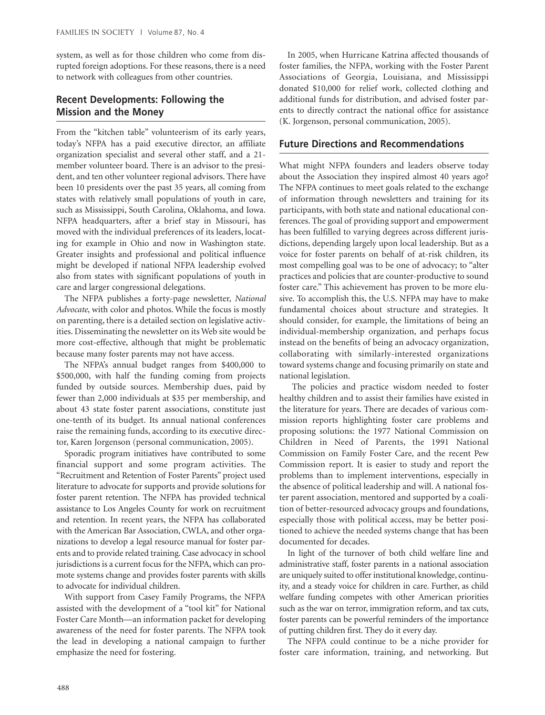system, as well as for those children who come from disrupted foreign adoptions. For these reasons, there is a need to network with colleagues from other countries.

## **Recent Developments: Following the Mission and the Money**

From the "kitchen table" volunteerism of its early years, today's NFPA has a paid executive director, an affiliate organization specialist and several other staff, and a 21 member volunteer board. There is an advisor to the president, and ten other volunteer regional advisors. There have been 10 presidents over the past 35 years, all coming from states with relatively small populations of youth in care, such as Mississippi, South Carolina, Oklahoma, and Iowa. NFPA headquarters, after a brief stay in Missouri, has moved with the individual preferences of its leaders, locating for example in Ohio and now in Washington state. Greater insights and professional and political influence might be developed if national NFPA leadership evolved also from states with significant populations of youth in care and larger congressional delegations.

The NFPA publishes a forty-page newsletter, *National Advocate*, with color and photos. While the focus is mostly on parenting, there is a detailed section on legislative activities. Disseminating the newsletter on its Web site would be more cost-effective, although that might be problematic because many foster parents may not have access.

The NFPA's annual budget ranges from \$400,000 to \$500,000, with half the funding coming from projects funded by outside sources. Membership dues, paid by fewer than 2,000 individuals at \$35 per membership, and about 43 state foster parent associations, constitute just one-tenth of its budget. Its annual national conferences raise the remaining funds, according to its executive director, Karen Jorgenson (personal communication, 2005).

Sporadic program initiatives have contributed to some financial support and some program activities. The "Recruitment and Retention of Foster Parents" project used literature to advocate for supports and provide solutions for foster parent retention. The NFPA has provided technical assistance to Los Angeles County for work on recruitment and retention. In recent years, the NFPA has collaborated with the American Bar Association, CWLA, and other organizations to develop a legal resource manual for foster parents and to provide related training. Case advocacy in school jurisdictions is a current focus for the NFPA, which can promote systems change and provides foster parents with skills to advocate for individual children.

With support from Casey Family Programs, the NFPA assisted with the development of a "tool kit" for National Foster Care Month—an information packet for developing awareness of the need for foster parents. The NFPA took the lead in developing a national campaign to further emphasize the need for fostering.

In 2005, when Hurricane Katrina affected thousands of foster families, the NFPA, working with the Foster Parent Associations of Georgia, Louisiana, and Mississippi donated \$10,000 for relief work, collected clothing and additional funds for distribution, and advised foster parents to directly contract the national office for assistance (K. Jorgenson, personal communication, 2005).

## **Future Directions and Recommendations**

What might NFPA founders and leaders observe today about the Association they inspired almost 40 years ago? The NFPA continues to meet goals related to the exchange of information through newsletters and training for its participants, with both state and national educational conferences. The goal of providing support and empowerment has been fulfilled to varying degrees across different jurisdictions, depending largely upon local leadership. But as a voice for foster parents on behalf of at-risk children, its most compelling goal was to be one of advocacy; to "alter practices and policies that are counter-productive to sound foster care." This achievement has proven to be more elusive. To accomplish this, the U.S. NFPA may have to make fundamental choices about structure and strategies. It should consider, for example, the limitations of being an individual-membership organization, and perhaps focus instead on the benefits of being an advocacy organization, collaborating with similarly-interested organizations toward systems change and focusing primarily on state and national legislation.

The policies and practice wisdom needed to foster healthy children and to assist their families have existed in the literature for years. There are decades of various commission reports highlighting foster care problems and proposing solutions: the 1977 National Commission on Children in Need of Parents, the 1991 National Commission on Family Foster Care, and the recent Pew Commission report. It is easier to study and report the problems than to implement interventions, especially in the absence of political leadership and will. A national foster parent association, mentored and supported by a coalition of better-resourced advocacy groups and foundations, especially those with political access, may be better positioned to achieve the needed systems change that has been documented for decades.

In light of the turnover of both child welfare line and administrative staff, foster parents in a national association are uniquely suited to offer institutional knowledge, continuity, and a steady voice for children in care. Further, as child welfare funding competes with other American priorities such as the war on terror, immigration reform, and tax cuts, foster parents can be powerful reminders of the importance of putting children first. They do it every day.

The NFPA could continue to be a niche provider for foster care information, training, and networking. But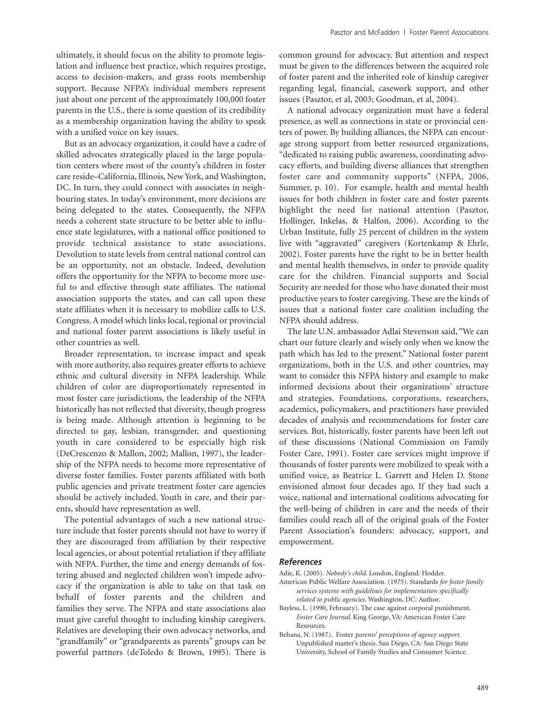But as an advocacy organization, it could have a cadre of skilled advocates strategically placed in the large population centers where most of the county's children in foster care reside–California, Illinois, New York, and Washington, DC. In turn, they could connect with associates in neighbouring states. In today's environment, more decisions are being delegated to the states. Consequently, the NFPA needs a coherent state structure to be better able to influence state legislatures, with a national office positioned to provide technical assistance to state associations. Devolution to state levels from central national control can be an opportunity, not an obstacle. Indeed, devolution offers the opportunity for the NFPA to become more useful to and effective through state affiliates. The national association supports the states, and can call upon these state affiliates when it is necessary to mobilize calls to U.S. Congress. A model which links local, regional or provincial and national foster parent associations is likely useful in other countries as well.

Broader representation, to increase impact and speak with more authority, also requires greater efforts to achieve ethnic and cultural diversity in NFPA leadership. While children of color are disproportionately represented in most foster care jurisdictions, the leadership of the NFPA historically has not reflected that diversity, though progress is being made. Although attention is beginning to be directed to gay, lesbian, transgender, and questioning youth in care considered to be especially high risk (DeCrescenzo & Mallon, 2002; Mallon, 1997), the leadership of the NFPA needs to become more representative of diverse foster families. Foster parents affiliated with both public agencies and private treatment foster care agencies should be actively included. Youth in care, and their parents, should have representation as well.

The potential advantages of such a new national structure include that foster parents should not have to worry if they are discouraged from affiliation by their respective local agencies, or about potential retaliation if they affiliate with NFPA. Further, the time and energy demands of fostering abused and neglected children won't impede advocacy if the organization is able to take on that task on behalf of foster parents and the children and families they serve. The NFPA and state associations also must give careful thought to including kinship caregivers. Relatives are developing their own advocacy networks, and "grandfamily" or "grandparents as parents" groups can be powerful partners (deToledo & Brown, 1995). There is common ground for advocacy. But attention and respect must be given to the differences between the acquired role of foster parent and the inherited role of kinship caregiver regarding legal, financial, casework support, and other issues (Pasztor, et al, 2003; Goodman, et al, 2004).

A national advocacy organization must have a federal presence, as well as connections in state or provincial centers of power. By building alliances, the NFPA can encourage strong support from better resourced organizations, "dedicated to raising public awareness, coordinating advocacy efforts, and building diverse alliances that strengthen foster care and community supports" (NFPA, 2006, Summer, p. 10). For example, health and mental health issues for both children in foster care and foster parents highlight the need for national attention (Pasztor, Hollinger, Inkelas, & Halfon, 2006). According to the Urban Institute, fully 25 percent of children in the system live with "aggravated" caregivers (Kortenkamp & Ehrle, 2002). Foster parents have the right to be in better health and mental health themselves, in order to provide quality care for the children. Financial supports and Social Security are needed for those who have donated their most productive years to foster caregiving. These are the kinds of issues that a national foster care coalition including the NFPA should address.

The late U.N. ambassador Adlai Stevenson said, "We can chart our future clearly and wisely only when we know the path which has led to the present." National foster parent organizations, both in the U.S. and other countries, may want to consider this NFPA history and example to make informed decisions about their organizations' structure and strategies. Foundations, corporations, researchers, academics, policymakers, and practitioners have provided decades of analysis and recommendations for foster care services. But, historically, foster parents have been left out of these discussions (National Commission on Family Foster Care, 1991). Foster care services might improve if thousands of foster parents were mobilized to speak with a unified voice, as Beatrice L. Garrett and Helen D. Stone envisioned almost four decades ago. If they had such a voice, national and international coalitions advocating for the well-being of children in care and the needs of their families could reach all of the original goals of the Foster Parent Association's founders: advocacy, support, and empowerment.

#### *References*

- Adie, K. (2005). *Nobody's child*. London, England: Hodder.
- American Public Welfare Association. (1975). Standards *for foster family services systems with guidelines for implementation specifically related to public agencies.* Washington, DC: Author.
- Bayless, L. (1990, February). The case against corporal punishment. *Foster Care Journal*. King George, VA: American Foster Care Resources.
- Behana, N. (1987). Foster *parents' perceptions of agency support*. Unpublished master's thesis. San Diego, CA: San Diego State University, School of Family Studies and Consumer Science.